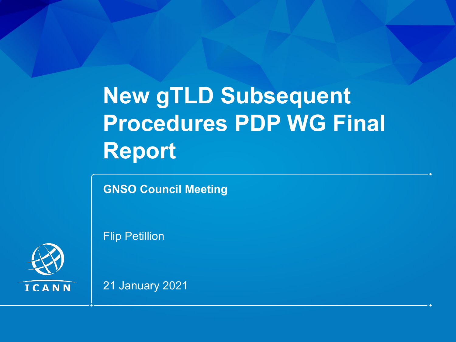# **New gTLD Subsequent Procedures PDP WG Final Report**

**GNSO Council Meeting**

Flip Petillion



21 January 2021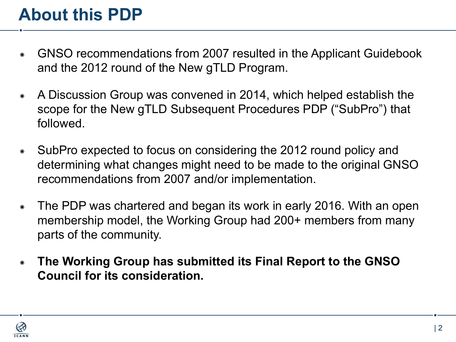### **About this PDP**

- ◉ GNSO recommendations from 2007 resulted in the Applicant Guidebook and the 2012 round of the New gTLD Program.
- ◉ A Discussion Group was convened in 2014, which helped establish the scope for the New gTLD Subsequent Procedures PDP ("SubPro") that followed.
- ◉ SubPro expected to focus on considering the 2012 round policy and determining what changes might need to be made to the original GNSO recommendations from 2007 and/or implementation.
- ◉ The PDP was chartered and began its work in early 2016. With an open membership model, the Working Group had 200+ members from many parts of the community.
- ◉ **The Working Group has submitted its Final Report to the GNSO Council for its consideration.**

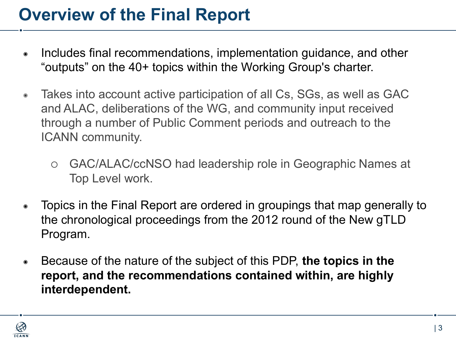### **Overview of the Final Report**

- Includes final recommendations, implementation guidance, and other "outputs" on the 40+ topics within the Working Group's charter.
- Takes into account active participation of all Cs, SGs, as well as GAC and ALAC, deliberations of the WG, and community input received through a number of Public Comment periods and outreach to the ICANN community.
	- ⚪ GAC/ALAC/ccNSO had leadership role in Geographic Names at Top Level work.
- ◉ Topics in the Final Report are ordered in groupings that map generally to the chronological proceedings from the 2012 round of the New gTLD Program.
- ◉ Because of the nature of the subject of this PDP, **the topics in the report, and the recommendations contained within, are highly interdependent.**

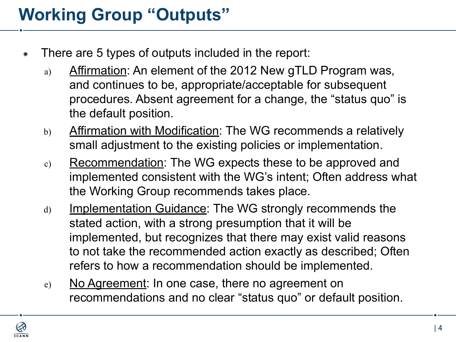### **Working Group "Outputs"**

- ◉ There are 5 types of outputs included in the report:
	- a) Affirmation: An element of the 2012 New gTLD Program was, and continues to be, appropriate/acceptable for subsequent procedures. Absent agreement for a change, the "status quo" is the default position.
	- b) Affirmation with Modification: The WG recommends a relatively small adjustment to the existing policies or implementation.
	- c) Recommendation: The WG expects these to be approved and implemented consistent with the WG's intent; Often address what the Working Group recommends takes place.
	- d) Implementation Guidance: The WG strongly recommends the stated action, with a strong presumption that it will be implemented, but recognizes that there may exist valid reasons to not take the recommended action exactly as described; Often refers to how a recommendation should be implemented.
	- e) No Agreement: In one case, there no agreement on recommendations and no clear "status quo" or default position.

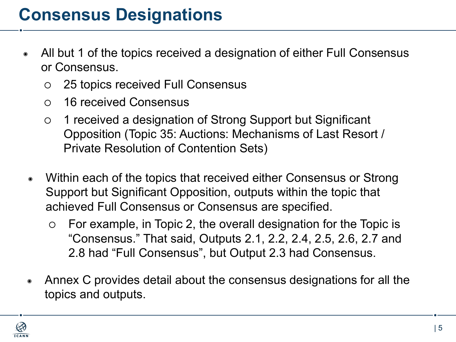- ◉ All but 1 of the topics received a designation of either Full Consensus or Consensus.
	- ⚪ 25 topics received Full Consensus
	- ⚪ 16 received Consensus
	- ⚪ 1 received a designation of Strong Support but Significant Opposition (Topic 35: Auctions: Mechanisms of Last Resort / Private Resolution of Contention Sets)
	- Within each of the topics that received either Consensus or Strong Support but Significant Opposition, outputs within the topic that achieved Full Consensus or Consensus are specified.
		- ⚪ For example, in Topic 2, the overall designation for the Topic is "Consensus." That said, Outputs 2.1, 2.2, 2.4, 2.5, 2.6, 2.7 and 2.8 had "Full Consensus", but Output 2.3 had Consensus.
- ◉ Annex C provides detail about the consensus designations for all the topics and outputs.

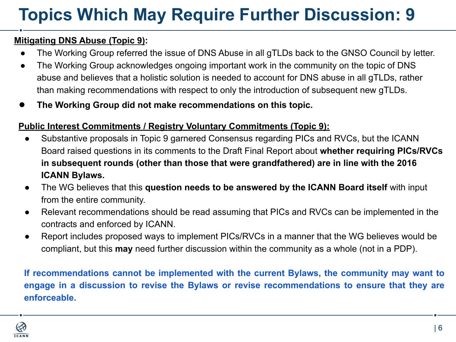## **Topics Which May Require Further Discussion: 9**

#### **Mitigating DNS Abuse (Topic 9):**

- The Working Group referred the issue of DNS Abuse in all gTLDs back to the GNSO Council by letter.
- The Working Group acknowledges ongoing important work in the community on the topic of DNS abuse and believes that a holistic solution is needed to account for DNS abuse in all gTLDs, rather than making recommendations with respect to only the introduction of subsequent new gTLDs.
- **● The Working Group did not make recommendations on this topic.**

#### **Public Interest Commitments / Registry Voluntary Commitments (Topic 9):**

- Substantive proposals in Topic 9 garnered Consensus regarding PICs and RVCs, but the ICANN Board raised questions in its comments to the Draft Final Report about **whether requiring PICs/RVCs in subsequent rounds (other than those that were grandfathered) are in line with the 2016 ICANN Bylaws.**
- The WG believes that this **question needs to be answered by the ICANN Board itself** with input from the entire community.
- Relevant recommendations should be read assuming that PICs and RVCs can be implemented in the contracts and enforced by ICANN.
- Report includes proposed ways to implement PICs/RVCs in a manner that the WG believes would be compliant, but this **may** need further discussion within the community as a whole (not in a PDP).

**If recommendations cannot be implemented with the current Bylaws, the community may want to engage in a discussion to revise the Bylaws or revise recommendations to ensure that they are enforceable.**

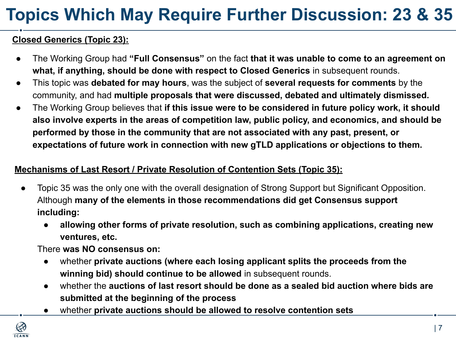## **Topics Which May Require Further Discussion: 23 & 35**

#### **Closed Generics (Topic 23):**

- The Working Group had **"Full Consensus"** on the fact **that it was unable to come to an agreement on what, if anything, should be done with respect to Closed Generics** in subsequent rounds.
- This topic was **debated for may hours**, was the subject of **several requests for comments** by the community, and had **multiple proposals that were discussed, debated and ultimately dismissed.**
- The Working Group believes that **if this issue were to be considered in future policy work, it should also involve experts in the areas of competition law, public policy, and economics, and should be performed by those in the community that are not associated with any past, present, or expectations of future work in connection with new gTLD applications or objections to them.**

#### **Mechanisms of Last Resort / Private Resolution of Contention Sets (Topic 35):**

- Topic 35 was the only one with the overall designation of Strong Support but Significant Opposition. Although **many of the elements in those recommendations did get Consensus support including:**
	- **● allowing other forms of private resolution, such as combining applications, creating new ventures, etc.**

There **was NO consensus on:**

- whether **private auctions (where each losing applicant splits the proceeds from the winning bid) should continue to be allowed** in subsequent rounds.
- whether the **auctions of last resort should be done as a sealed bid auction where bids are submitted at the beginning of the process**
- whether **private auctions should be allowed to resolve contention sets**